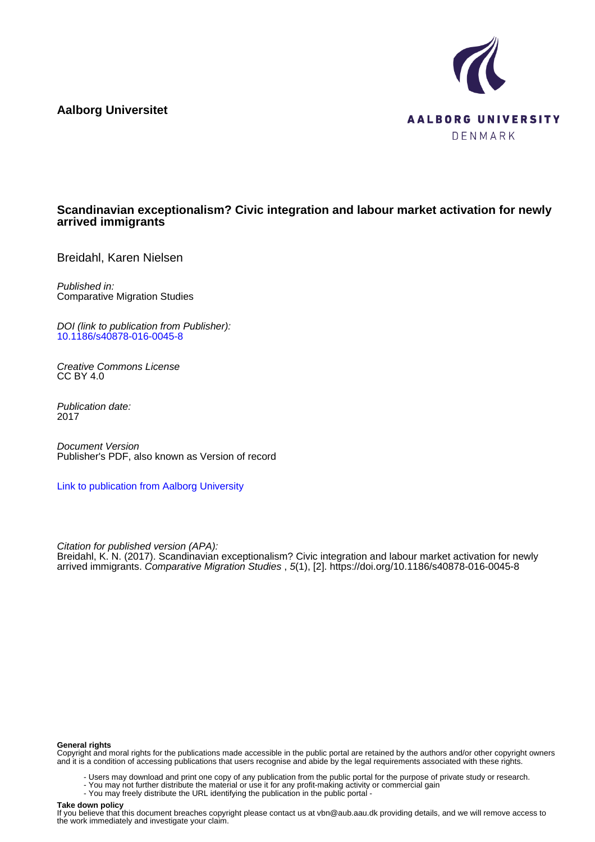**Aalborg Universitet**



# **Scandinavian exceptionalism? Civic integration and labour market activation for newly arrived immigrants**

Breidahl, Karen Nielsen

Published in: Comparative Migration Studies

DOI (link to publication from Publisher): [10.1186/s40878-016-0045-8](https://doi.org/10.1186/s40878-016-0045-8)

Creative Commons License CC BY 4.0

Publication date: 2017

Document Version Publisher's PDF, also known as Version of record

[Link to publication from Aalborg University](https://vbn.aau.dk/en/publications/3146ab3d-57f5-4f9c-be4a-fb86d4517bbc)

Citation for published version (APA): Breidahl, K. N. (2017). Scandinavian exceptionalism? Civic integration and labour market activation for newly arrived immigrants. Comparative Migration Studies , 5(1), [2]. <https://doi.org/10.1186/s40878-016-0045-8>

#### **General rights**

Copyright and moral rights for the publications made accessible in the public portal are retained by the authors and/or other copyright owners and it is a condition of accessing publications that users recognise and abide by the legal requirements associated with these rights.

- Users may download and print one copy of any publication from the public portal for the purpose of private study or research.

- You may not further distribute the material or use it for any profit-making activity or commercial gain

- You may freely distribute the URL identifying the publication in the public portal -

#### **Take down policy**

If you believe that this document breaches copyright please contact us at vbn@aub.aau.dk providing details, and we will remove access to the work immediately and investigate your claim.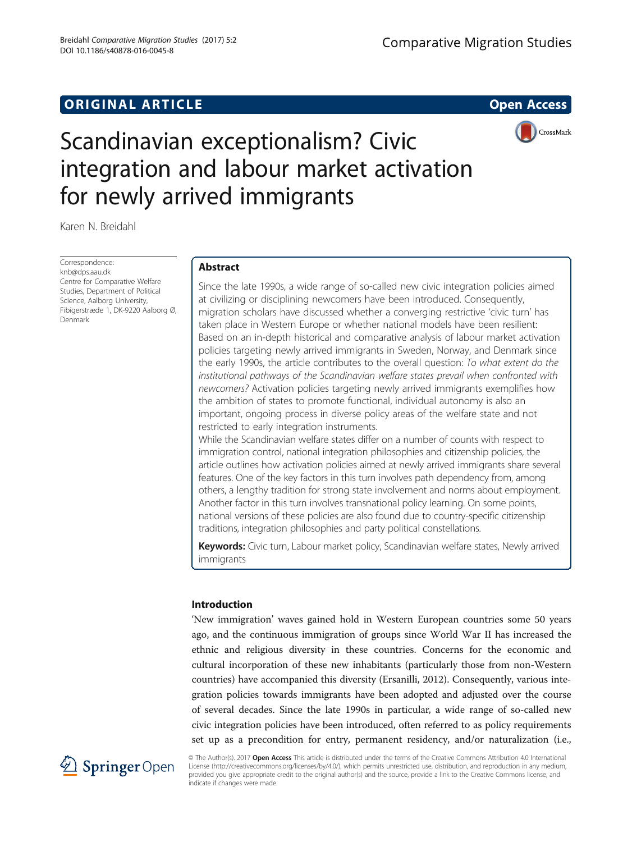# **ORIGINAL ARTICLE CONSERVANCE IN A LOCAL CONSERVANCE IN A LOCAL CONSERVANCE IN A LOCAL CONSERVANCE IN A LOCAL CONSERVANCE IN A LOCAL CONSERVANCE IN A LOCAL CONSERVANCE IN A LOCAL CONSERVANCE IN A LOCAL CONSERVANCE IN A L**



# Scandinavian exceptionalism? Civic integration and labour market activation for newly arrived immigrants

Karen N. Breidahl

Correspondence: [knb@dps.aau.dk](mailto:knb@dps.aau.dk) Centre for Comparative Welfare Studies, Department of Political Science, Aalborg University, Fibigerstræde 1, DK-9220 Aalborg Ø, Denmark

# Abstract

Since the late 1990s, a wide range of so-called new civic integration policies aimed at civilizing or disciplining newcomers have been introduced. Consequently, migration scholars have discussed whether a converging restrictive 'civic turn' has taken place in Western Europe or whether national models have been resilient: Based on an in-depth historical and comparative analysis of labour market activation policies targeting newly arrived immigrants in Sweden, Norway, and Denmark since the early 1990s, the article contributes to the overall question: To what extent do the institutional pathways of the Scandinavian welfare states prevail when confronted with newcomers? Activation policies targeting newly arrived immigrants exemplifies how the ambition of states to promote functional, individual autonomy is also an important, ongoing process in diverse policy areas of the welfare state and not restricted to early integration instruments.

While the Scandinavian welfare states differ on a number of counts with respect to immigration control, national integration philosophies and citizenship policies, the article outlines how activation policies aimed at newly arrived immigrants share several features. One of the key factors in this turn involves path dependency from, among others, a lengthy tradition for strong state involvement and norms about employment. Another factor in this turn involves transnational policy learning. On some points, national versions of these policies are also found due to country-specific citizenship traditions, integration philosophies and party political constellations.

**Keywords:** Civic turn, Labour market policy, Scandinavian welfare states, Newly arrived immigrants

# Introduction

'New immigration' waves gained hold in Western European countries some 50 years ago, and the continuous immigration of groups since World War II has increased the ethnic and religious diversity in these countries. Concerns for the economic and cultural incorporation of these new inhabitants (particularly those from non-Western countries) have accompanied this diversity (Ersanilli, [2012](#page-18-0)). Consequently, various integration policies towards immigrants have been adopted and adjusted over the course of several decades. Since the late 1990s in particular, a wide range of so-called new civic integration policies have been introduced, often referred to as policy requirements set up as a precondition for entry, permanent residency, and/or naturalization (i.e.,



© The Author(s). 2017 Open Access This article is distributed under the terms of the Creative Commons Attribution 4.0 International License [\(http://creativecommons.org/licenses/by/4.0/](http://creativecommons.org/licenses/by/4.0/)), which permits unrestricted use, distribution, and reproduction in any medium, provided you give appropriate credit to the original author(s) and the source, provide a link to the Creative Commons license, and indicate if changes were made.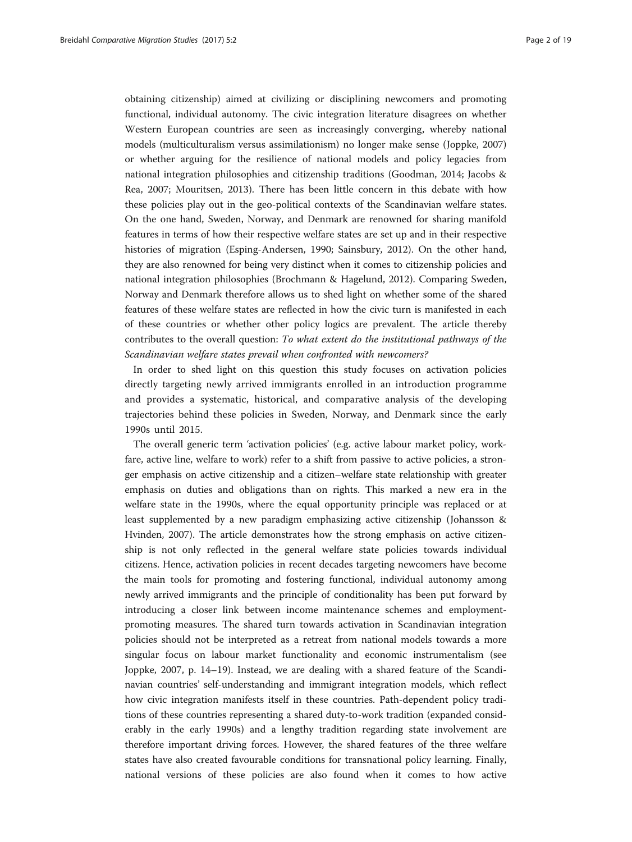obtaining citizenship) aimed at civilizing or disciplining newcomers and promoting functional, individual autonomy. The civic integration literature disagrees on whether Western European countries are seen as increasingly converging, whereby national models (multiculturalism versus assimilationism) no longer make sense (Joppke, [2007](#page-18-0)) or whether arguing for the resilience of national models and policy legacies from national integration philosophies and citizenship traditions (Goodman, [2014](#page-18-0); Jacobs & Rea, [2007;](#page-18-0) Mouritsen, [2013](#page-18-0)). There has been little concern in this debate with how these policies play out in the geo-political contexts of the Scandinavian welfare states. On the one hand, Sweden, Norway, and Denmark are renowned for sharing manifold features in terms of how their respective welfare states are set up and in their respective histories of migration (Esping-Andersen, [1990](#page-18-0); Sainsbury, [2012\)](#page-19-0). On the other hand, they are also renowned for being very distinct when it comes to citizenship policies and national integration philosophies (Brochmann & Hagelund, [2012](#page-18-0)). Comparing Sweden, Norway and Denmark therefore allows us to shed light on whether some of the shared features of these welfare states are reflected in how the civic turn is manifested in each of these countries or whether other policy logics are prevalent. The article thereby contributes to the overall question: To what extent do the institutional pathways of the Scandinavian welfare states prevail when confronted with newcomers?

In order to shed light on this question this study focuses on activation policies directly targeting newly arrived immigrants enrolled in an introduction programme and provides a systematic, historical, and comparative analysis of the developing trajectories behind these policies in Sweden, Norway, and Denmark since the early 1990s until 2015.

The overall generic term 'activation policies' (e.g. active labour market policy, workfare, active line, welfare to work) refer to a shift from passive to active policies, a stronger emphasis on active citizenship and a citizen–welfare state relationship with greater emphasis on duties and obligations than on rights. This marked a new era in the welfare state in the 1990s, where the equal opportunity principle was replaced or at least supplemented by a new paradigm emphasizing active citizenship (Johansson & Hvinden, [2007](#page-18-0)). The article demonstrates how the strong emphasis on active citizenship is not only reflected in the general welfare state policies towards individual citizens. Hence, activation policies in recent decades targeting newcomers have become the main tools for promoting and fostering functional, individual autonomy among newly arrived immigrants and the principle of conditionality has been put forward by introducing a closer link between income maintenance schemes and employmentpromoting measures. The shared turn towards activation in Scandinavian integration policies should not be interpreted as a retreat from national models towards a more singular focus on labour market functionality and economic instrumentalism (see Joppke, [2007](#page-18-0), p. 14–19). Instead, we are dealing with a shared feature of the Scandinavian countries' self-understanding and immigrant integration models, which reflect how civic integration manifests itself in these countries. Path-dependent policy traditions of these countries representing a shared duty-to-work tradition (expanded considerably in the early 1990s) and a lengthy tradition regarding state involvement are therefore important driving forces. However, the shared features of the three welfare states have also created favourable conditions for transnational policy learning. Finally, national versions of these policies are also found when it comes to how active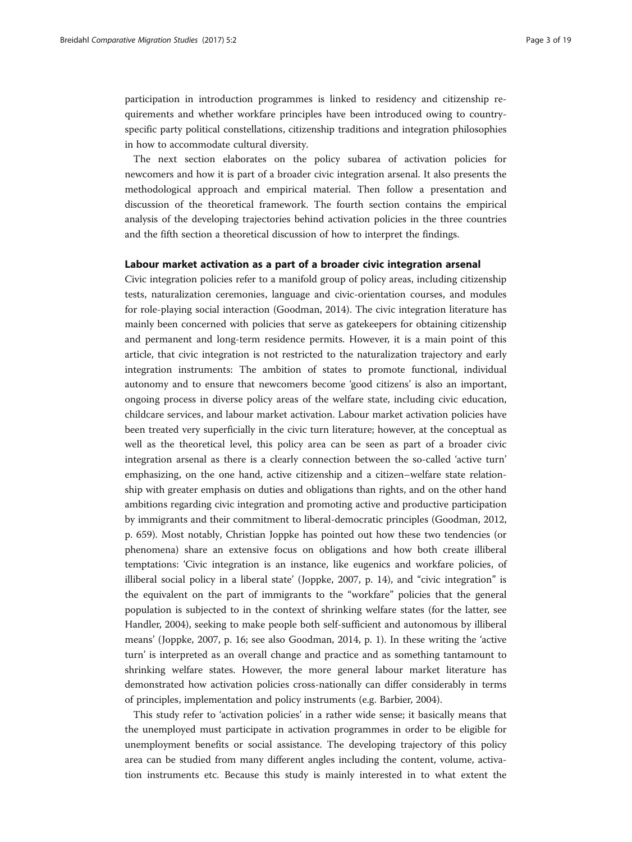participation in introduction programmes is linked to residency and citizenship requirements and whether workfare principles have been introduced owing to countryspecific party political constellations, citizenship traditions and integration philosophies in how to accommodate cultural diversity.

The next section elaborates on the policy subarea of activation policies for newcomers and how it is part of a broader civic integration arsenal. It also presents the methodological approach and empirical material. Then follow a presentation and discussion of the theoretical framework. The fourth section contains the empirical analysis of the developing trajectories behind activation policies in the three countries and the fifth section a theoretical discussion of how to interpret the findings.

## Labour market activation as a part of a broader civic integration arsenal

Civic integration policies refer to a manifold group of policy areas, including citizenship tests, naturalization ceremonies, language and civic-orientation courses, and modules for role-playing social interaction (Goodman, [2014](#page-18-0)). The civic integration literature has mainly been concerned with policies that serve as gatekeepers for obtaining citizenship and permanent and long-term residence permits. However, it is a main point of this article, that civic integration is not restricted to the naturalization trajectory and early integration instruments: The ambition of states to promote functional, individual autonomy and to ensure that newcomers become 'good citizens' is also an important, ongoing process in diverse policy areas of the welfare state, including civic education, childcare services, and labour market activation. Labour market activation policies have been treated very superficially in the civic turn literature; however, at the conceptual as well as the theoretical level, this policy area can be seen as part of a broader civic integration arsenal as there is a clearly connection between the so-called 'active turn' emphasizing, on the one hand, active citizenship and a citizen–welfare state relationship with greater emphasis on duties and obligations than rights, and on the other hand ambitions regarding civic integration and promoting active and productive participation by immigrants and their commitment to liberal-democratic principles (Goodman, [2012](#page-18-0), p. 659). Most notably, Christian Joppke has pointed out how these two tendencies (or phenomena) share an extensive focus on obligations and how both create illiberal temptations: 'Civic integration is an instance, like eugenics and workfare policies, of illiberal social policy in a liberal state' (Joppke, [2007](#page-18-0), p. 14), and "civic integration" is the equivalent on the part of immigrants to the "workfare" policies that the general population is subjected to in the context of shrinking welfare states (for the latter, see Handler, [2004\)](#page-18-0), seeking to make people both self-sufficient and autonomous by illiberal means' (Joppke, [2007,](#page-18-0) p. 16; see also Goodman, [2014,](#page-18-0) p. 1). In these writing the 'active turn' is interpreted as an overall change and practice and as something tantamount to shrinking welfare states. However, the more general labour market literature has demonstrated how activation policies cross-nationally can differ considerably in terms of principles, implementation and policy instruments (e.g. Barbier, [2004\)](#page-18-0).

This study refer to 'activation policies' in a rather wide sense; it basically means that the unemployed must participate in activation programmes in order to be eligible for unemployment benefits or social assistance. The developing trajectory of this policy area can be studied from many different angles including the content, volume, activation instruments etc. Because this study is mainly interested in to what extent the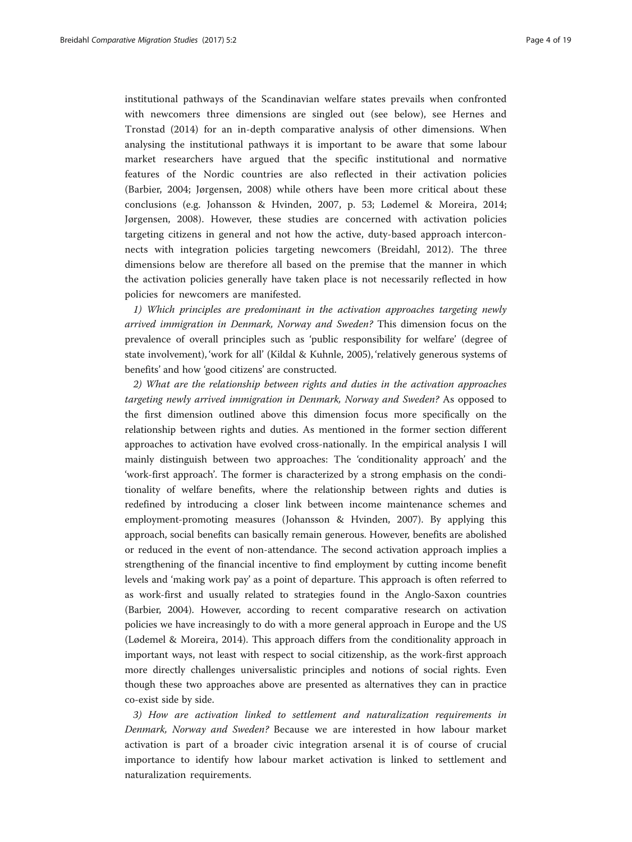institutional pathways of the Scandinavian welfare states prevails when confronted with newcomers three dimensions are singled out (see below), see Hernes and Tronstad ([2014\)](#page-18-0) for an in-depth comparative analysis of other dimensions. When analysing the institutional pathways it is important to be aware that some labour market researchers have argued that the specific institutional and normative features of the Nordic countries are also reflected in their activation policies (Barbier, [2004;](#page-18-0) Jørgensen, [2008\)](#page-18-0) while others have been more critical about these conclusions (e.g. Johansson & Hvinden, [2007,](#page-18-0) p. 53; Lødemel & Moreira, [2014](#page-18-0); Jørgensen, [2008\)](#page-18-0). However, these studies are concerned with activation policies targeting citizens in general and not how the active, duty-based approach interconnects with integration policies targeting newcomers (Breidahl, [2012](#page-18-0)). The three dimensions below are therefore all based on the premise that the manner in which the activation policies generally have taken place is not necessarily reflected in how policies for newcomers are manifested.

1) Which principles are predominant in the activation approaches targeting newly arrived immigration in Denmark, Norway and Sweden? This dimension focus on the prevalence of overall principles such as 'public responsibility for welfare' (degree of state involvement), 'work for all' (Kildal & Kuhnle, [2005\)](#page-18-0), 'relatively generous systems of benefits' and how 'good citizens' are constructed.

2) What are the relationship between rights and duties in the activation approaches targeting newly arrived immigration in Denmark, Norway and Sweden? As opposed to the first dimension outlined above this dimension focus more specifically on the relationship between rights and duties. As mentioned in the former section different approaches to activation have evolved cross-nationally. In the empirical analysis I will mainly distinguish between two approaches: The 'conditionality approach' and the 'work-first approach'. The former is characterized by a strong emphasis on the conditionality of welfare benefits, where the relationship between rights and duties is redefined by introducing a closer link between income maintenance schemes and employment-promoting measures (Johansson & Hvinden, [2007\)](#page-18-0). By applying this approach, social benefits can basically remain generous. However, benefits are abolished or reduced in the event of non-attendance. The second activation approach implies a strengthening of the financial incentive to find employment by cutting income benefit levels and 'making work pay' as a point of departure. This approach is often referred to as work-first and usually related to strategies found in the Anglo-Saxon countries (Barbier, [2004\)](#page-18-0). However, according to recent comparative research on activation policies we have increasingly to do with a more general approach in Europe and the US (Lødemel & Moreira, [2014\)](#page-18-0). This approach differs from the conditionality approach in important ways, not least with respect to social citizenship, as the work-first approach more directly challenges universalistic principles and notions of social rights. Even though these two approaches above are presented as alternatives they can in practice co-exist side by side.

3) How are activation linked to settlement and naturalization requirements in Denmark, Norway and Sweden? Because we are interested in how labour market activation is part of a broader civic integration arsenal it is of course of crucial importance to identify how labour market activation is linked to settlement and naturalization requirements.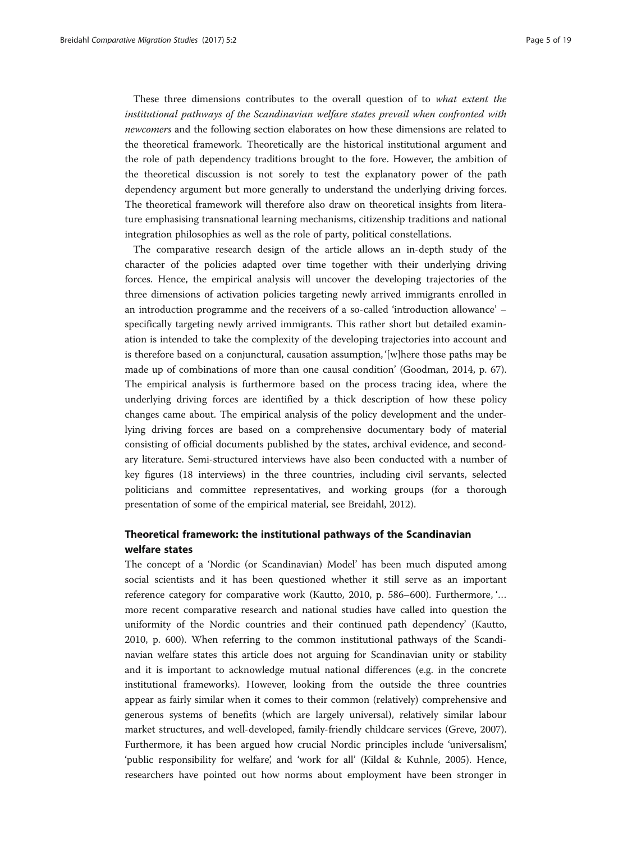These three dimensions contributes to the overall question of to what extent the institutional pathways of the Scandinavian welfare states prevail when confronted with newcomers and the following section elaborates on how these dimensions are related to the theoretical framework. Theoretically are the historical institutional argument and the role of path dependency traditions brought to the fore. However, the ambition of the theoretical discussion is not sorely to test the explanatory power of the path dependency argument but more generally to understand the underlying driving forces. The theoretical framework will therefore also draw on theoretical insights from literature emphasising transnational learning mechanisms, citizenship traditions and national integration philosophies as well as the role of party, political constellations.

The comparative research design of the article allows an in-depth study of the character of the policies adapted over time together with their underlying driving forces. Hence, the empirical analysis will uncover the developing trajectories of the three dimensions of activation policies targeting newly arrived immigrants enrolled in an introduction programme and the receivers of a so-called 'introduction allowance' – specifically targeting newly arrived immigrants. This rather short but detailed examination is intended to take the complexity of the developing trajectories into account and is therefore based on a conjunctural, causation assumption, '[w]here those paths may be made up of combinations of more than one causal condition' (Goodman, [2014,](#page-18-0) p. 67). The empirical analysis is furthermore based on the process tracing idea, where the underlying driving forces are identified by a thick description of how these policy changes came about. The empirical analysis of the policy development and the underlying driving forces are based on a comprehensive documentary body of material consisting of official documents published by the states, archival evidence, and secondary literature. Semi-structured interviews have also been conducted with a number of key figures (18 interviews) in the three countries, including civil servants, selected politicians and committee representatives, and working groups (for a thorough presentation of some of the empirical material, see Breidahl, [2012\)](#page-18-0).

# Theoretical framework: the institutional pathways of the Scandinavian welfare states

The concept of a 'Nordic (or Scandinavian) Model' has been much disputed among social scientists and it has been questioned whether it still serve as an important reference category for comparative work (Kautto, [2010](#page-18-0), p. 586–600). Furthermore, '… more recent comparative research and national studies have called into question the uniformity of the Nordic countries and their continued path dependency' (Kautto, [2010](#page-18-0), p. 600). When referring to the common institutional pathways of the Scandinavian welfare states this article does not arguing for Scandinavian unity or stability and it is important to acknowledge mutual national differences (e.g. in the concrete institutional frameworks). However, looking from the outside the three countries appear as fairly similar when it comes to their common (relatively) comprehensive and generous systems of benefits (which are largely universal), relatively similar labour market structures, and well-developed, family-friendly childcare services (Greve, [2007](#page-18-0)). Furthermore, it has been argued how crucial Nordic principles include 'universalism', 'public responsibility for welfare', and 'work for all' (Kildal & Kuhnle, [2005](#page-18-0)). Hence, researchers have pointed out how norms about employment have been stronger in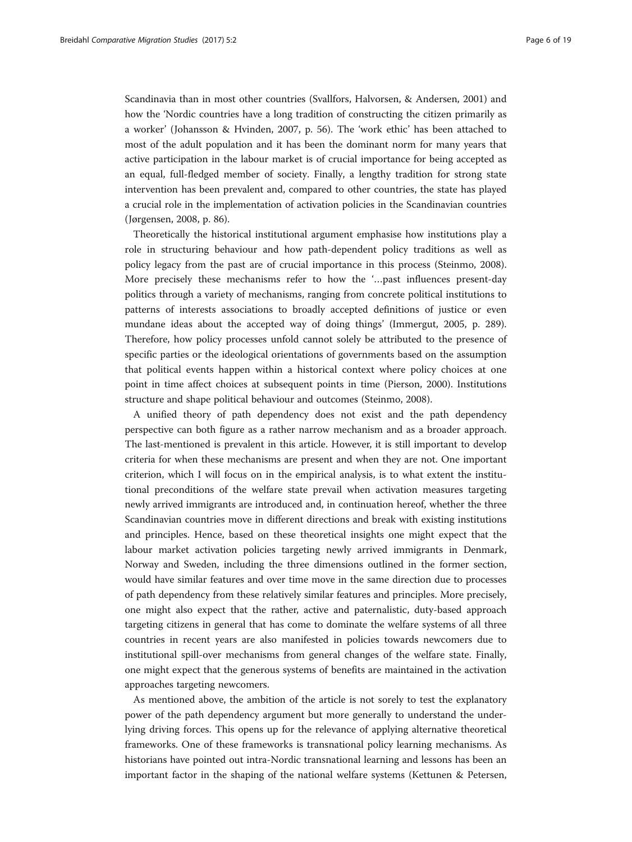Scandinavia than in most other countries (Svallfors, Halvorsen, & Andersen, [2001](#page-19-0)) and how the 'Nordic countries have a long tradition of constructing the citizen primarily as a worker' (Johansson & Hvinden, [2007](#page-18-0), p. 56). The 'work ethic' has been attached to most of the adult population and it has been the dominant norm for many years that active participation in the labour market is of crucial importance for being accepted as an equal, full-fledged member of society. Finally, a lengthy tradition for strong state intervention has been prevalent and, compared to other countries, the state has played a crucial role in the implementation of activation policies in the Scandinavian countries (Jørgensen, [2008,](#page-18-0) p. 86).

Theoretically the historical institutional argument emphasise how institutions play a role in structuring behaviour and how path-dependent policy traditions as well as policy legacy from the past are of crucial importance in this process (Steinmo, [2008](#page-19-0)). More precisely these mechanisms refer to how the '…past influences present-day politics through a variety of mechanisms, ranging from concrete political institutions to patterns of interests associations to broadly accepted definitions of justice or even mundane ideas about the accepted way of doing things' (Immergut, [2005,](#page-18-0) p. 289). Therefore, how policy processes unfold cannot solely be attributed to the presence of specific parties or the ideological orientations of governments based on the assumption that political events happen within a historical context where policy choices at one point in time affect choices at subsequent points in time (Pierson, [2000\)](#page-19-0). Institutions structure and shape political behaviour and outcomes (Steinmo, [2008](#page-19-0)).

A unified theory of path dependency does not exist and the path dependency perspective can both figure as a rather narrow mechanism and as a broader approach. The last-mentioned is prevalent in this article. However, it is still important to develop criteria for when these mechanisms are present and when they are not. One important criterion, which I will focus on in the empirical analysis, is to what extent the institutional preconditions of the welfare state prevail when activation measures targeting newly arrived immigrants are introduced and, in continuation hereof, whether the three Scandinavian countries move in different directions and break with existing institutions and principles. Hence, based on these theoretical insights one might expect that the labour market activation policies targeting newly arrived immigrants in Denmark, Norway and Sweden, including the three dimensions outlined in the former section, would have similar features and over time move in the same direction due to processes of path dependency from these relatively similar features and principles. More precisely, one might also expect that the rather, active and paternalistic, duty-based approach targeting citizens in general that has come to dominate the welfare systems of all three countries in recent years are also manifested in policies towards newcomers due to institutional spill-over mechanisms from general changes of the welfare state. Finally, one might expect that the generous systems of benefits are maintained in the activation approaches targeting newcomers.

As mentioned above, the ambition of the article is not sorely to test the explanatory power of the path dependency argument but more generally to understand the underlying driving forces. This opens up for the relevance of applying alternative theoretical frameworks. One of these frameworks is transnational policy learning mechanisms. As historians have pointed out intra-Nordic transnational learning and lessons has been an important factor in the shaping of the national welfare systems (Kettunen & Petersen,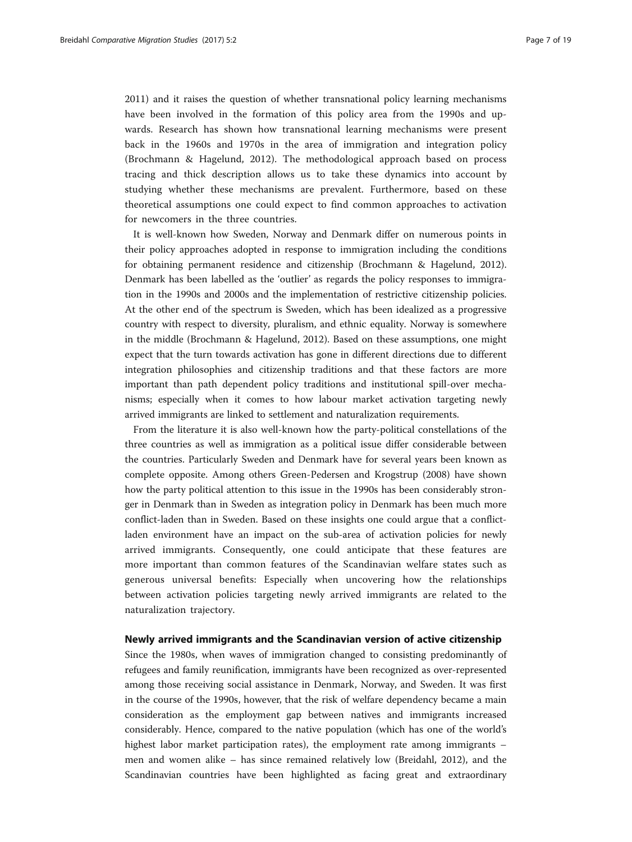[2011](#page-18-0)) and it raises the question of whether transnational policy learning mechanisms have been involved in the formation of this policy area from the 1990s and upwards. Research has shown how transnational learning mechanisms were present back in the 1960s and 1970s in the area of immigration and integration policy (Brochmann & Hagelund, [2012\)](#page-18-0). The methodological approach based on process tracing and thick description allows us to take these dynamics into account by studying whether these mechanisms are prevalent. Furthermore, based on these theoretical assumptions one could expect to find common approaches to activation for newcomers in the three countries.

It is well-known how Sweden, Norway and Denmark differ on numerous points in their policy approaches adopted in response to immigration including the conditions for obtaining permanent residence and citizenship (Brochmann & Hagelund, [2012](#page-18-0)). Denmark has been labelled as the 'outlier' as regards the policy responses to immigration in the 1990s and 2000s and the implementation of restrictive citizenship policies. At the other end of the spectrum is Sweden, which has been idealized as a progressive country with respect to diversity, pluralism, and ethnic equality. Norway is somewhere in the middle (Brochmann & Hagelund, [2012](#page-18-0)). Based on these assumptions, one might expect that the turn towards activation has gone in different directions due to different integration philosophies and citizenship traditions and that these factors are more important than path dependent policy traditions and institutional spill-over mechanisms; especially when it comes to how labour market activation targeting newly arrived immigrants are linked to settlement and naturalization requirements.

From the literature it is also well-known how the party-political constellations of the three countries as well as immigration as a political issue differ considerable between the countries. Particularly Sweden and Denmark have for several years been known as complete opposite. Among others Green-Pedersen and Krogstrup ([2008](#page-18-0)) have shown how the party political attention to this issue in the 1990s has been considerably stronger in Denmark than in Sweden as integration policy in Denmark has been much more conflict-laden than in Sweden. Based on these insights one could argue that a conflictladen environment have an impact on the sub-area of activation policies for newly arrived immigrants. Consequently, one could anticipate that these features are more important than common features of the Scandinavian welfare states such as generous universal benefits: Especially when uncovering how the relationships between activation policies targeting newly arrived immigrants are related to the naturalization trajectory.

## Newly arrived immigrants and the Scandinavian version of active citizenship

Since the 1980s, when waves of immigration changed to consisting predominantly of refugees and family reunification, immigrants have been recognized as over-represented among those receiving social assistance in Denmark, Norway, and Sweden. It was first in the course of the 1990s, however, that the risk of welfare dependency became a main consideration as the employment gap between natives and immigrants increased considerably. Hence, compared to the native population (which has one of the world's highest labor market participation rates), the employment rate among immigrants – men and women alike – has since remained relatively low (Breidahl, [2012\)](#page-18-0), and the Scandinavian countries have been highlighted as facing great and extraordinary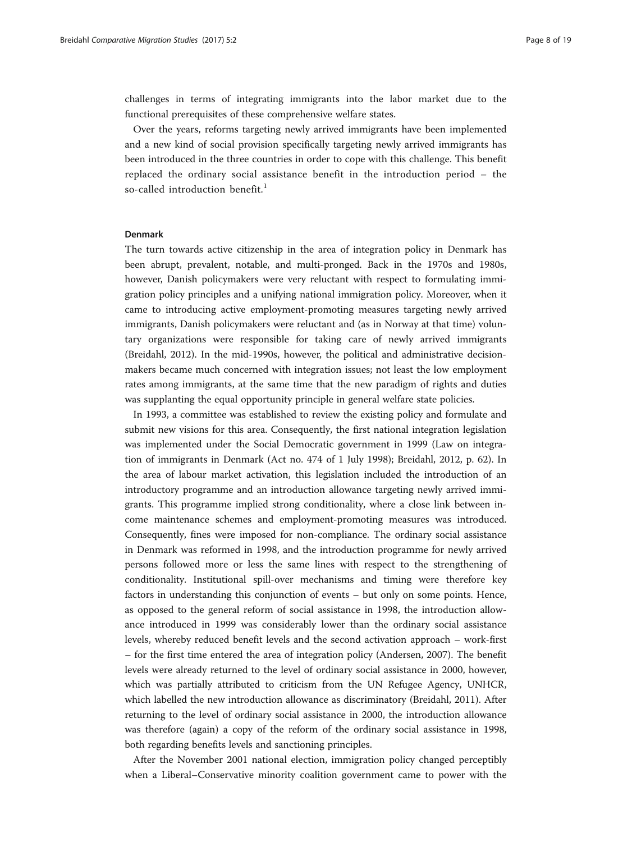challenges in terms of integrating immigrants into the labor market due to the functional prerequisites of these comprehensive welfare states.

Over the years, reforms targeting newly arrived immigrants have been implemented and a new kind of social provision specifically targeting newly arrived immigrants has been introduced in the three countries in order to cope with this challenge. This benefit replaced the ordinary social assistance benefit in the introduction period – the so-called introduction benefit.<sup>1</sup>

# Denmark

The turn towards active citizenship in the area of integration policy in Denmark has been abrupt, prevalent, notable, and multi-pronged. Back in the 1970s and 1980s, however, Danish policymakers were very reluctant with respect to formulating immigration policy principles and a unifying national immigration policy. Moreover, when it came to introducing active employment-promoting measures targeting newly arrived immigrants, Danish policymakers were reluctant and (as in Norway at that time) voluntary organizations were responsible for taking care of newly arrived immigrants (Breidahl, [2012](#page-18-0)). In the mid-1990s, however, the political and administrative decisionmakers became much concerned with integration issues; not least the low employment rates among immigrants, at the same time that the new paradigm of rights and duties was supplanting the equal opportunity principle in general welfare state policies.

In 1993, a committee was established to review the existing policy and formulate and submit new visions for this area. Consequently, the first national integration legislation was implemented under the Social Democratic government in 1999 (Law on integration of immigrants in Denmark (Act no. 474 of 1 July [1998\)](#page-18-0); Breidahl, [2012,](#page-18-0) p. 62). In the area of labour market activation, this legislation included the introduction of an introductory programme and an introduction allowance targeting newly arrived immigrants. This programme implied strong conditionality, where a close link between income maintenance schemes and employment-promoting measures was introduced. Consequently, fines were imposed for non-compliance. The ordinary social assistance in Denmark was reformed in 1998, and the introduction programme for newly arrived persons followed more or less the same lines with respect to the strengthening of conditionality. Institutional spill-over mechanisms and timing were therefore key factors in understanding this conjunction of events – but only on some points. Hence, as opposed to the general reform of social assistance in 1998, the introduction allowance introduced in 1999 was considerably lower than the ordinary social assistance levels, whereby reduced benefit levels and the second activation approach – work-first – for the first time entered the area of integration policy (Andersen, [2007\)](#page-18-0). The benefit levels were already returned to the level of ordinary social assistance in 2000, however, which was partially attributed to criticism from the UN Refugee Agency, UNHCR, which labelled the new introduction allowance as discriminatory (Breidahl, [2011](#page-18-0)). After returning to the level of ordinary social assistance in 2000, the introduction allowance was therefore (again) a copy of the reform of the ordinary social assistance in 1998, both regarding benefits levels and sanctioning principles.

After the November 2001 national election, immigration policy changed perceptibly when a Liberal–Conservative minority coalition government came to power with the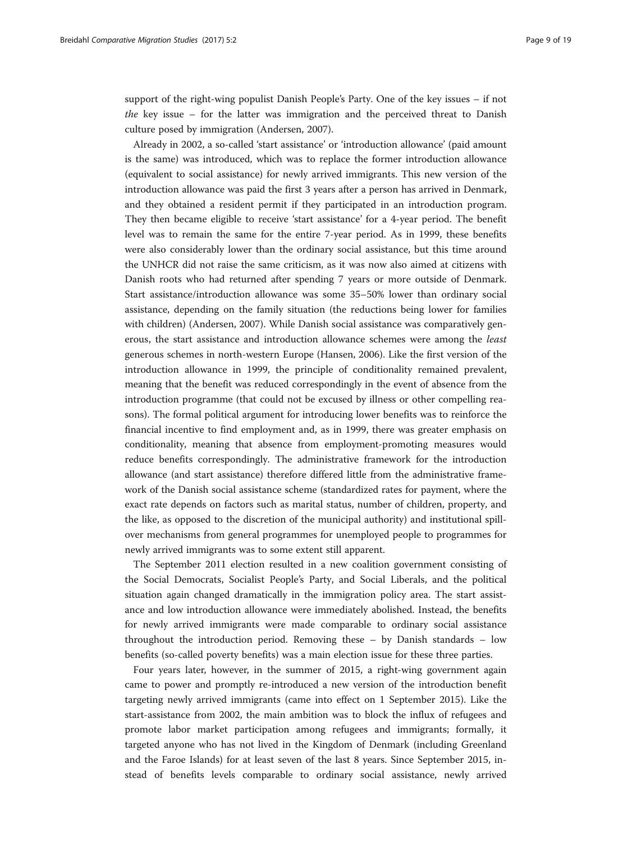support of the right-wing populist Danish People's Party. One of the key issues – if not the key issue – for the latter was immigration and the perceived threat to Danish culture posed by immigration (Andersen, [2007](#page-18-0)).

Already in 2002, a so-called 'start assistance' or 'introduction allowance' (paid amount is the same) was introduced, which was to replace the former introduction allowance (equivalent to social assistance) for newly arrived immigrants. This new version of the introduction allowance was paid the first 3 years after a person has arrived in Denmark, and they obtained a resident permit if they participated in an introduction program. They then became eligible to receive 'start assistance' for a 4-year period. The benefit level was to remain the same for the entire 7-year period. As in 1999, these benefits were also considerably lower than the ordinary social assistance, but this time around the UNHCR did not raise the same criticism, as it was now also aimed at citizens with Danish roots who had returned after spending 7 years or more outside of Denmark. Start assistance/introduction allowance was some 35–50% lower than ordinary social assistance, depending on the family situation (the reductions being lower for families with children) (Andersen, [2007](#page-18-0)). While Danish social assistance was comparatively generous, the start assistance and introduction allowance schemes were among the least generous schemes in north-western Europe (Hansen, [2006\)](#page-18-0). Like the first version of the introduction allowance in 1999, the principle of conditionality remained prevalent, meaning that the benefit was reduced correspondingly in the event of absence from the introduction programme (that could not be excused by illness or other compelling reasons). The formal political argument for introducing lower benefits was to reinforce the financial incentive to find employment and, as in 1999, there was greater emphasis on conditionality, meaning that absence from employment-promoting measures would reduce benefits correspondingly. The administrative framework for the introduction allowance (and start assistance) therefore differed little from the administrative framework of the Danish social assistance scheme (standardized rates for payment, where the exact rate depends on factors such as marital status, number of children, property, and the like, as opposed to the discretion of the municipal authority) and institutional spillover mechanisms from general programmes for unemployed people to programmes for newly arrived immigrants was to some extent still apparent.

The September 2011 election resulted in a new coalition government consisting of the Social Democrats, Socialist People's Party, and Social Liberals, and the political situation again changed dramatically in the immigration policy area. The start assistance and low introduction allowance were immediately abolished. Instead, the benefits for newly arrived immigrants were made comparable to ordinary social assistance throughout the introduction period. Removing these – by Danish standards – low benefits (so-called poverty benefits) was a main election issue for these three parties.

Four years later, however, in the summer of 2015, a right-wing government again came to power and promptly re-introduced a new version of the introduction benefit targeting newly arrived immigrants (came into effect on 1 September 2015). Like the start-assistance from 2002, the main ambition was to block the influx of refugees and promote labor market participation among refugees and immigrants; formally, it targeted anyone who has not lived in the Kingdom of Denmark (including Greenland and the Faroe Islands) for at least seven of the last 8 years. Since September 2015, instead of benefits levels comparable to ordinary social assistance, newly arrived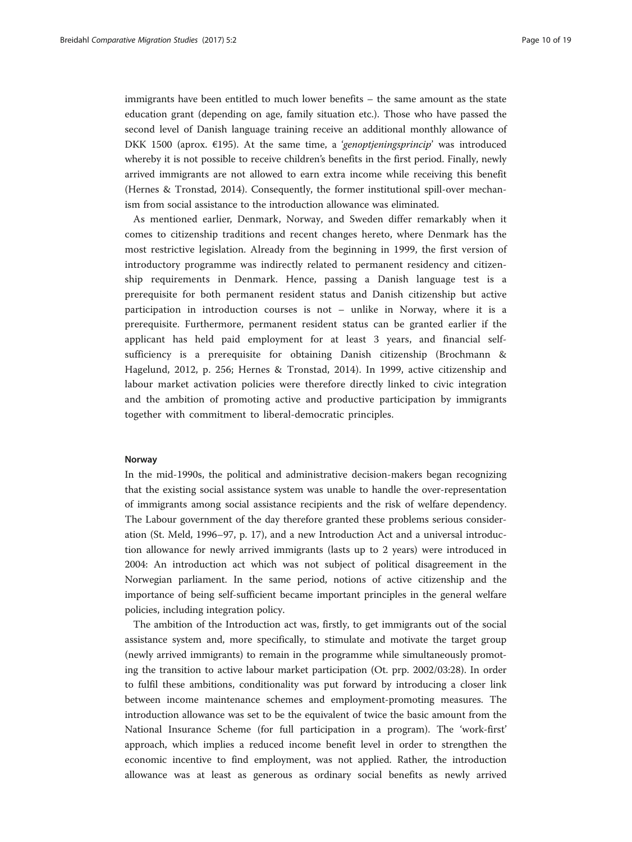immigrants have been entitled to much lower benefits – the same amount as the state education grant (depending on age, family situation etc.). Those who have passed the second level of Danish language training receive an additional monthly allowance of DKK 1500 (aprox.  $E(195)$ ). At the same time, a 'genoptieningsprincip' was introduced whereby it is not possible to receive children's benefits in the first period. Finally, newly arrived immigrants are not allowed to earn extra income while receiving this benefit (Hernes & Tronstad, [2014\)](#page-18-0). Consequently, the former institutional spill-over mechanism from social assistance to the introduction allowance was eliminated.

As mentioned earlier, Denmark, Norway, and Sweden differ remarkably when it comes to citizenship traditions and recent changes hereto, where Denmark has the most restrictive legislation. Already from the beginning in 1999, the first version of introductory programme was indirectly related to permanent residency and citizenship requirements in Denmark. Hence, passing a Danish language test is a prerequisite for both permanent resident status and Danish citizenship but active participation in introduction courses is not – unlike in Norway, where it is a prerequisite. Furthermore, permanent resident status can be granted earlier if the applicant has held paid employment for at least 3 years, and financial selfsufficiency is a prerequisite for obtaining Danish citizenship (Brochmann & Hagelund, [2012,](#page-18-0) p. 256; Hernes & Tronstad, [2014](#page-18-0)). In 1999, active citizenship and labour market activation policies were therefore directly linked to civic integration and the ambition of promoting active and productive participation by immigrants together with commitment to liberal-democratic principles.

#### Norway

In the mid-1990s, the political and administrative decision-makers began recognizing that the existing social assistance system was unable to handle the over-representation of immigrants among social assistance recipients and the risk of welfare dependency. The Labour government of the day therefore granted these problems serious consideration (St. Meld, [1996](#page-19-0)–97, p. 17), and a new Introduction Act and a universal introduction allowance for newly arrived immigrants (lasts up to 2 years) were introduced in 2004: An introduction act which was not subject of political disagreement in the Norwegian parliament. In the same period, notions of active citizenship and the importance of being self-sufficient became important principles in the general welfare policies, including integration policy.

The ambition of the Introduction act was, firstly, to get immigrants out of the social assistance system and, more specifically, to stimulate and motivate the target group (newly arrived immigrants) to remain in the programme while simultaneously promoting the transition to active labour market participation (Ot. prp. 2002/03:28). In order to fulfil these ambitions, conditionality was put forward by introducing a closer link between income maintenance schemes and employment-promoting measures. The introduction allowance was set to be the equivalent of twice the basic amount from the National Insurance Scheme (for full participation in a program). The 'work-first' approach, which implies a reduced income benefit level in order to strengthen the economic incentive to find employment, was not applied. Rather, the introduction allowance was at least as generous as ordinary social benefits as newly arrived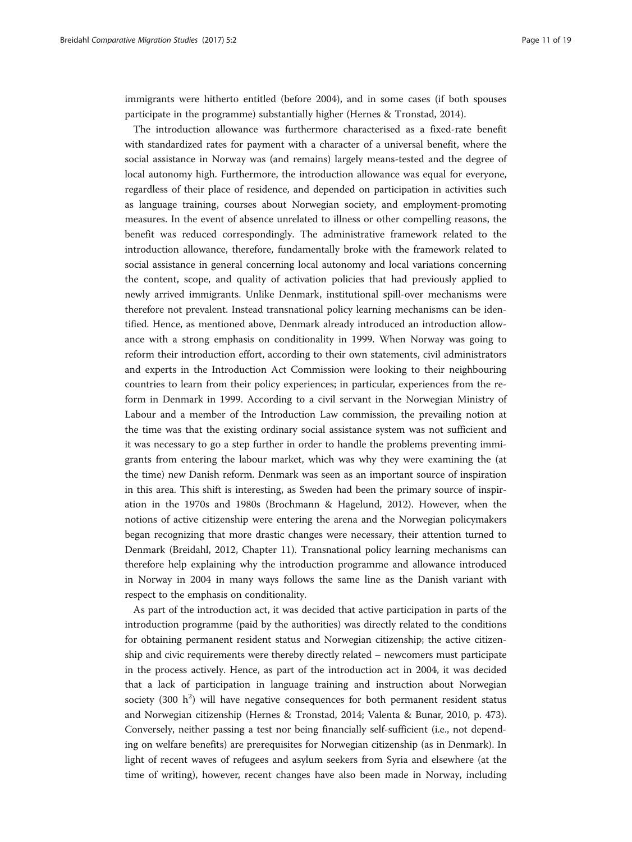immigrants were hitherto entitled (before 2004), and in some cases (if both spouses participate in the programme) substantially higher (Hernes & Tronstad, [2014](#page-18-0)).

The introduction allowance was furthermore characterised as a fixed-rate benefit with standardized rates for payment with a character of a universal benefit, where the social assistance in Norway was (and remains) largely means-tested and the degree of local autonomy high. Furthermore, the introduction allowance was equal for everyone, regardless of their place of residence, and depended on participation in activities such as language training, courses about Norwegian society, and employment-promoting measures. In the event of absence unrelated to illness or other compelling reasons, the benefit was reduced correspondingly. The administrative framework related to the introduction allowance, therefore, fundamentally broke with the framework related to social assistance in general concerning local autonomy and local variations concerning the content, scope, and quality of activation policies that had previously applied to newly arrived immigrants. Unlike Denmark, institutional spill-over mechanisms were therefore not prevalent. Instead transnational policy learning mechanisms can be identified. Hence, as mentioned above, Denmark already introduced an introduction allowance with a strong emphasis on conditionality in 1999. When Norway was going to reform their introduction effort, according to their own statements, civil administrators and experts in the Introduction Act Commission were looking to their neighbouring countries to learn from their policy experiences; in particular, experiences from the reform in Denmark in 1999. According to a civil servant in the Norwegian Ministry of Labour and a member of the Introduction Law commission, the prevailing notion at the time was that the existing ordinary social assistance system was not sufficient and it was necessary to go a step further in order to handle the problems preventing immigrants from entering the labour market, which was why they were examining the (at the time) new Danish reform. Denmark was seen as an important source of inspiration in this area. This shift is interesting, as Sweden had been the primary source of inspiration in the 1970s and 1980s (Brochmann & Hagelund, [2012\)](#page-18-0). However, when the notions of active citizenship were entering the arena and the Norwegian policymakers began recognizing that more drastic changes were necessary, their attention turned to Denmark (Breidahl, [2012](#page-18-0), Chapter 11). Transnational policy learning mechanisms can therefore help explaining why the introduction programme and allowance introduced in Norway in 2004 in many ways follows the same line as the Danish variant with respect to the emphasis on conditionality.

As part of the introduction act, it was decided that active participation in parts of the introduction programme (paid by the authorities) was directly related to the conditions for obtaining permanent resident status and Norwegian citizenship; the active citizenship and civic requirements were thereby directly related – newcomers must participate in the process actively. Hence, as part of the introduction act in 2004, it was decided that a lack of participation in language training and instruction about Norwegian society (300  $h^2$ ) will have negative consequences for both permanent resident status and Norwegian citizenship (Hernes & Tronstad, [2014](#page-18-0); Valenta & Bunar, [2010,](#page-19-0) p. 473). Conversely, neither passing a test nor being financially self-sufficient (i.e., not depending on welfare benefits) are prerequisites for Norwegian citizenship (as in Denmark). In light of recent waves of refugees and asylum seekers from Syria and elsewhere (at the time of writing), however, recent changes have also been made in Norway, including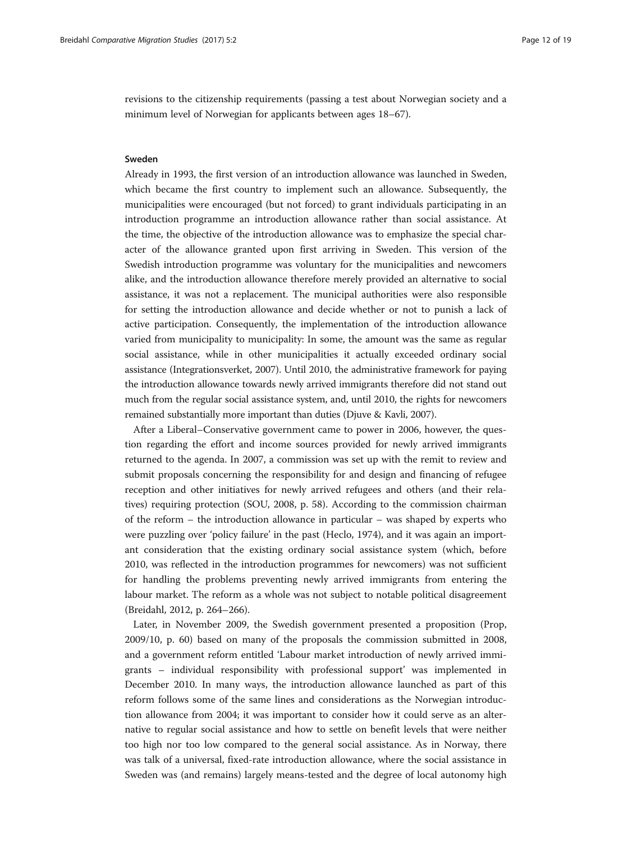revisions to the citizenship requirements (passing a test about Norwegian society and a minimum level of Norwegian for applicants between ages 18–67).

## Sweden

Already in 1993, the first version of an introduction allowance was launched in Sweden, which became the first country to implement such an allowance. Subsequently, the municipalities were encouraged (but not forced) to grant individuals participating in an introduction programme an introduction allowance rather than social assistance. At the time, the objective of the introduction allowance was to emphasize the special character of the allowance granted upon first arriving in Sweden. This version of the Swedish introduction programme was voluntary for the municipalities and newcomers alike, and the introduction allowance therefore merely provided an alternative to social assistance, it was not a replacement. The municipal authorities were also responsible for setting the introduction allowance and decide whether or not to punish a lack of active participation. Consequently, the implementation of the introduction allowance varied from municipality to municipality: In some, the amount was the same as regular social assistance, while in other municipalities it actually exceeded ordinary social assistance (Integrationsverket, [2007\)](#page-18-0). Until 2010, the administrative framework for paying the introduction allowance towards newly arrived immigrants therefore did not stand out much from the regular social assistance system, and, until 2010, the rights for newcomers remained substantially more important than duties (Djuve & Kavli, [2007](#page-18-0)).

After a Liberal–Conservative government came to power in 2006, however, the question regarding the effort and income sources provided for newly arrived immigrants returned to the agenda. In 2007, a commission was set up with the remit to review and submit proposals concerning the responsibility for and design and financing of refugee reception and other initiatives for newly arrived refugees and others (and their relatives) requiring protection (SOU, [2008,](#page-19-0) p. 58). According to the commission chairman of the reform – the introduction allowance in particular – was shaped by experts who were puzzling over 'policy failure' in the past (Heclo, [1974](#page-18-0)), and it was again an important consideration that the existing ordinary social assistance system (which, before 2010, was reflected in the introduction programmes for newcomers) was not sufficient for handling the problems preventing newly arrived immigrants from entering the labour market. The reform as a whole was not subject to notable political disagreement (Breidahl, [2012](#page-18-0), p. 264–266).

Later, in November 2009, the Swedish government presented a proposition (Prop, [2009](#page-19-0)/10, p. 60) based on many of the proposals the commission submitted in 2008, and a government reform entitled 'Labour market introduction of newly arrived immigrants – individual responsibility with professional support' was implemented in December 2010. In many ways, the introduction allowance launched as part of this reform follows some of the same lines and considerations as the Norwegian introduction allowance from 2004; it was important to consider how it could serve as an alternative to regular social assistance and how to settle on benefit levels that were neither too high nor too low compared to the general social assistance. As in Norway, there was talk of a universal, fixed-rate introduction allowance, where the social assistance in Sweden was (and remains) largely means-tested and the degree of local autonomy high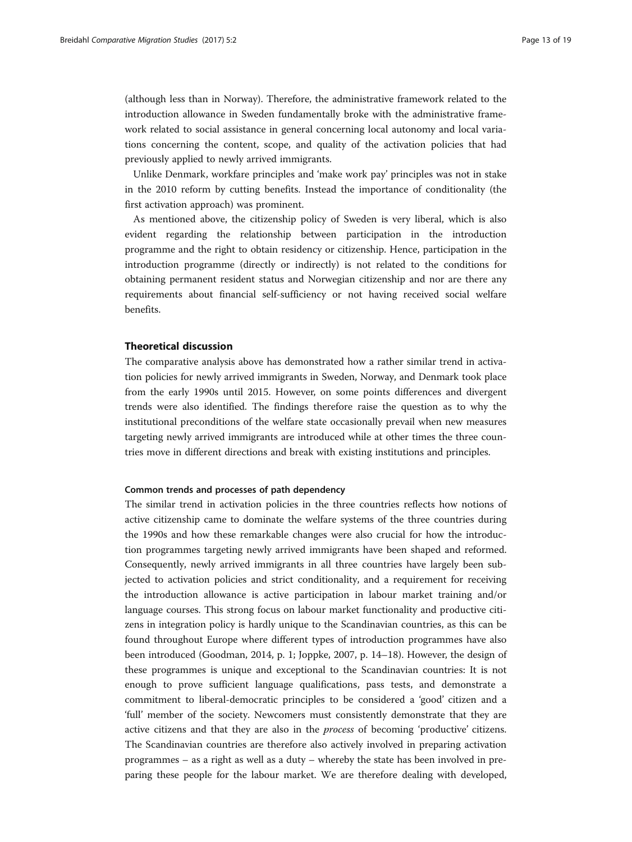(although less than in Norway). Therefore, the administrative framework related to the introduction allowance in Sweden fundamentally broke with the administrative framework related to social assistance in general concerning local autonomy and local variations concerning the content, scope, and quality of the activation policies that had previously applied to newly arrived immigrants.

Unlike Denmark, workfare principles and 'make work pay' principles was not in stake in the 2010 reform by cutting benefits. Instead the importance of conditionality (the first activation approach) was prominent.

As mentioned above, the citizenship policy of Sweden is very liberal, which is also evident regarding the relationship between participation in the introduction programme and the right to obtain residency or citizenship. Hence, participation in the introduction programme (directly or indirectly) is not related to the conditions for obtaining permanent resident status and Norwegian citizenship and nor are there any requirements about financial self-sufficiency or not having received social welfare benefits.

# Theoretical discussion

The comparative analysis above has demonstrated how a rather similar trend in activation policies for newly arrived immigrants in Sweden, Norway, and Denmark took place from the early 1990s until 2015. However, on some points differences and divergent trends were also identified. The findings therefore raise the question as to why the institutional preconditions of the welfare state occasionally prevail when new measures targeting newly arrived immigrants are introduced while at other times the three countries move in different directions and break with existing institutions and principles.

## Common trends and processes of path dependency

The similar trend in activation policies in the three countries reflects how notions of active citizenship came to dominate the welfare systems of the three countries during the 1990s and how these remarkable changes were also crucial for how the introduction programmes targeting newly arrived immigrants have been shaped and reformed. Consequently, newly arrived immigrants in all three countries have largely been subjected to activation policies and strict conditionality, and a requirement for receiving the introduction allowance is active participation in labour market training and/or language courses. This strong focus on labour market functionality and productive citizens in integration policy is hardly unique to the Scandinavian countries, as this can be found throughout Europe where different types of introduction programmes have also been introduced (Goodman, [2014](#page-18-0), p. 1; Joppke, [2007](#page-18-0), p. 14–18). However, the design of these programmes is unique and exceptional to the Scandinavian countries: It is not enough to prove sufficient language qualifications, pass tests, and demonstrate a commitment to liberal-democratic principles to be considered a 'good' citizen and a 'full' member of the society. Newcomers must consistently demonstrate that they are active citizens and that they are also in the process of becoming 'productive' citizens. The Scandinavian countries are therefore also actively involved in preparing activation programmes – as a right as well as a duty – whereby the state has been involved in preparing these people for the labour market. We are therefore dealing with developed,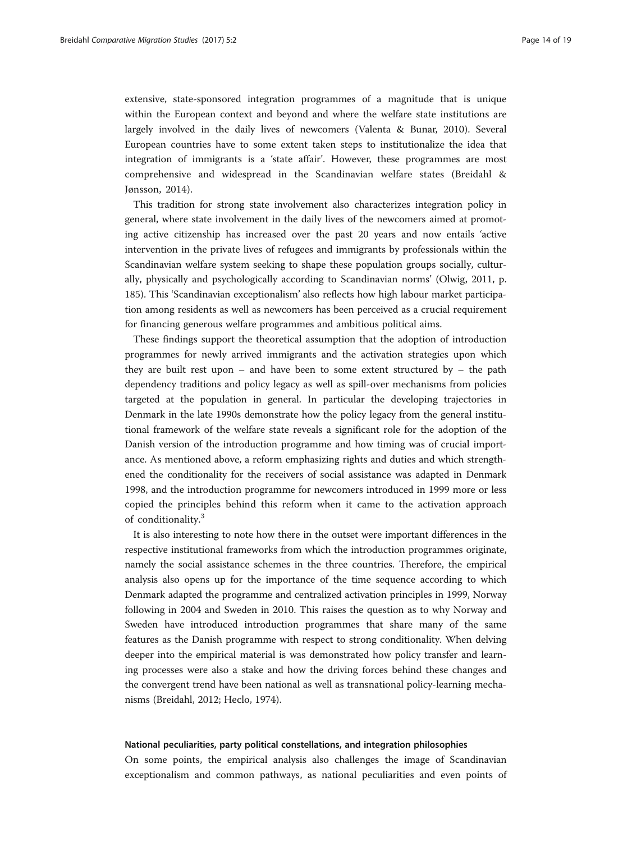extensive, state-sponsored integration programmes of a magnitude that is unique within the European context and beyond and where the welfare state institutions are largely involved in the daily lives of newcomers (Valenta & Bunar, [2010\)](#page-19-0). Several European countries have to some extent taken steps to institutionalize the idea that integration of immigrants is a 'state affair'. However, these programmes are most comprehensive and widespread in the Scandinavian welfare states (Breidahl & Jønsson, [2014](#page-18-0)).

This tradition for strong state involvement also characterizes integration policy in general, where state involvement in the daily lives of the newcomers aimed at promoting active citizenship has increased over the past 20 years and now entails 'active intervention in the private lives of refugees and immigrants by professionals within the Scandinavian welfare system seeking to shape these population groups socially, culturally, physically and psychologically according to Scandinavian norms' (Olwig, [2011](#page-18-0), p. 185). This 'Scandinavian exceptionalism' also reflects how high labour market participation among residents as well as newcomers has been perceived as a crucial requirement for financing generous welfare programmes and ambitious political aims.

These findings support the theoretical assumption that the adoption of introduction programmes for newly arrived immigrants and the activation strategies upon which they are built rest upon – and have been to some extent structured by – the path dependency traditions and policy legacy as well as spill-over mechanisms from policies targeted at the population in general. In particular the developing trajectories in Denmark in the late 1990s demonstrate how the policy legacy from the general institutional framework of the welfare state reveals a significant role for the adoption of the Danish version of the introduction programme and how timing was of crucial importance. As mentioned above, a reform emphasizing rights and duties and which strengthened the conditionality for the receivers of social assistance was adapted in Denmark 1998, and the introduction programme for newcomers introduced in 1999 more or less copied the principles behind this reform when it came to the activation approach of conditionality.<sup>3</sup>

It is also interesting to note how there in the outset were important differences in the respective institutional frameworks from which the introduction programmes originate, namely the social assistance schemes in the three countries. Therefore, the empirical analysis also opens up for the importance of the time sequence according to which Denmark adapted the programme and centralized activation principles in 1999, Norway following in 2004 and Sweden in 2010. This raises the question as to why Norway and Sweden have introduced introduction programmes that share many of the same features as the Danish programme with respect to strong conditionality. When delving deeper into the empirical material is was demonstrated how policy transfer and learning processes were also a stake and how the driving forces behind these changes and the convergent trend have been national as well as transnational policy-learning mechanisms (Breidahl, [2012](#page-18-0); Heclo, [1974](#page-18-0)).

### National peculiarities, party political constellations, and integration philosophies

On some points, the empirical analysis also challenges the image of Scandinavian exceptionalism and common pathways, as national peculiarities and even points of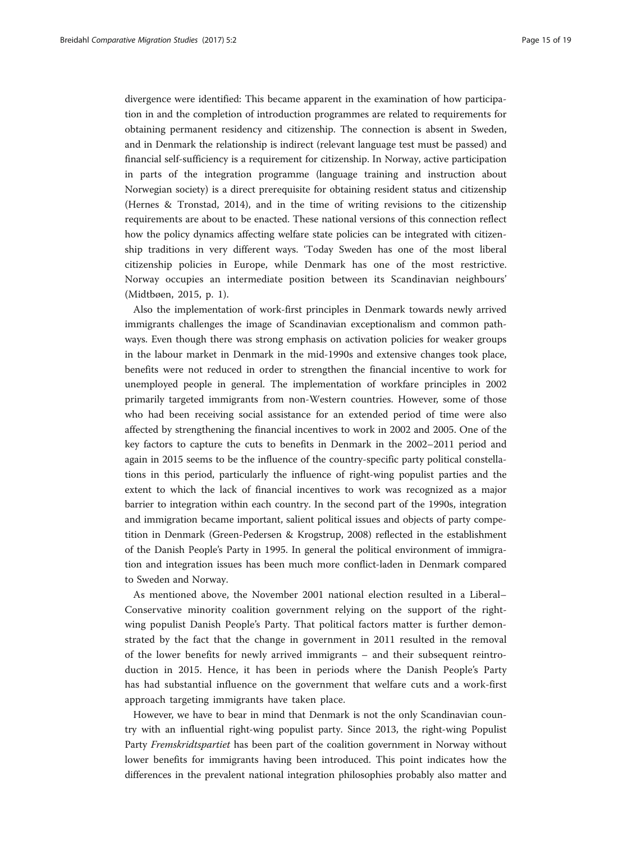divergence were identified: This became apparent in the examination of how participation in and the completion of introduction programmes are related to requirements for obtaining permanent residency and citizenship. The connection is absent in Sweden, and in Denmark the relationship is indirect (relevant language test must be passed) and financial self-sufficiency is a requirement for citizenship. In Norway, active participation in parts of the integration programme (language training and instruction about Norwegian society) is a direct prerequisite for obtaining resident status and citizenship (Hernes & Tronstad, [2014](#page-18-0)), and in the time of writing revisions to the citizenship requirements are about to be enacted. These national versions of this connection reflect how the policy dynamics affecting welfare state policies can be integrated with citizenship traditions in very different ways. 'Today Sweden has one of the most liberal citizenship policies in Europe, while Denmark has one of the most restrictive. Norway occupies an intermediate position between its Scandinavian neighbours' (Midtbøen, [2015,](#page-18-0) p. 1).

Also the implementation of work-first principles in Denmark towards newly arrived immigrants challenges the image of Scandinavian exceptionalism and common pathways. Even though there was strong emphasis on activation policies for weaker groups in the labour market in Denmark in the mid-1990s and extensive changes took place, benefits were not reduced in order to strengthen the financial incentive to work for unemployed people in general. The implementation of workfare principles in 2002 primarily targeted immigrants from non-Western countries. However, some of those who had been receiving social assistance for an extended period of time were also affected by strengthening the financial incentives to work in 2002 and 2005. One of the key factors to capture the cuts to benefits in Denmark in the 2002–2011 period and again in 2015 seems to be the influence of the country-specific party political constellations in this period, particularly the influence of right-wing populist parties and the extent to which the lack of financial incentives to work was recognized as a major barrier to integration within each country. In the second part of the 1990s, integration and immigration became important, salient political issues and objects of party competition in Denmark (Green-Pedersen & Krogstrup, [2008](#page-18-0)) reflected in the establishment of the Danish People's Party in 1995. In general the political environment of immigration and integration issues has been much more conflict-laden in Denmark compared to Sweden and Norway.

As mentioned above, the November 2001 national election resulted in a Liberal– Conservative minority coalition government relying on the support of the rightwing populist Danish People's Party. That political factors matter is further demonstrated by the fact that the change in government in 2011 resulted in the removal of the lower benefits for newly arrived immigrants – and their subsequent reintroduction in 2015. Hence, it has been in periods where the Danish People's Party has had substantial influence on the government that welfare cuts and a work-first approach targeting immigrants have taken place.

However, we have to bear in mind that Denmark is not the only Scandinavian country with an influential right-wing populist party. Since 2013, the right-wing Populist Party Fremskridtspartiet has been part of the coalition government in Norway without lower benefits for immigrants having been introduced. This point indicates how the differences in the prevalent national integration philosophies probably also matter and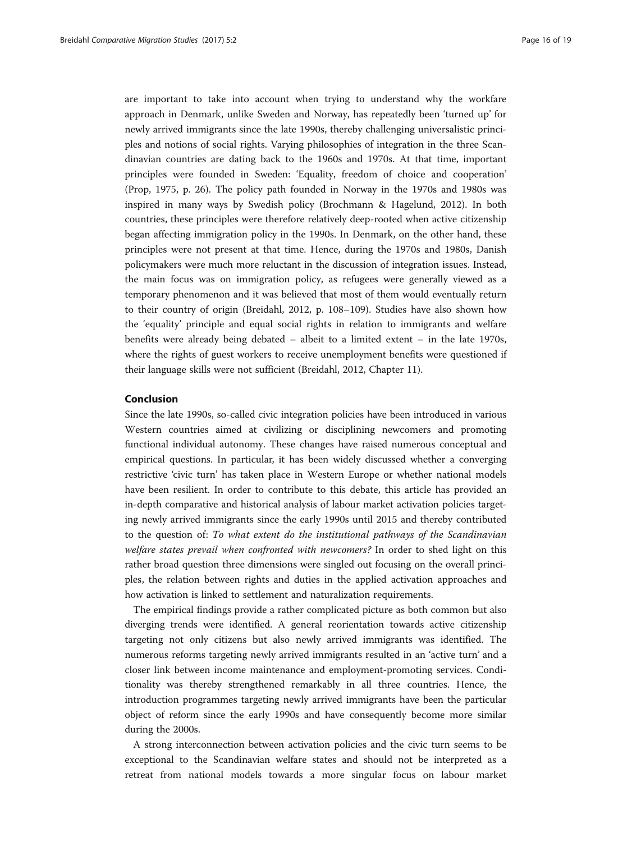are important to take into account when trying to understand why the workfare approach in Denmark, unlike Sweden and Norway, has repeatedly been 'turned up' for newly arrived immigrants since the late 1990s, thereby challenging universalistic principles and notions of social rights. Varying philosophies of integration in the three Scandinavian countries are dating back to the 1960s and 1970s. At that time, important principles were founded in Sweden: 'Equality, freedom of choice and cooperation' (Prop, [1975](#page-19-0), p. 26). The policy path founded in Norway in the 1970s and 1980s was inspired in many ways by Swedish policy (Brochmann & Hagelund, [2012](#page-18-0)). In both countries, these principles were therefore relatively deep-rooted when active citizenship began affecting immigration policy in the 1990s. In Denmark, on the other hand, these principles were not present at that time. Hence, during the 1970s and 1980s, Danish policymakers were much more reluctant in the discussion of integration issues. Instead, the main focus was on immigration policy, as refugees were generally viewed as a temporary phenomenon and it was believed that most of them would eventually return to their country of origin (Breidahl, [2012,](#page-18-0) p. 108–109). Studies have also shown how the 'equality' principle and equal social rights in relation to immigrants and welfare benefits were already being debated – albeit to a limited extent – in the late 1970s, where the rights of guest workers to receive unemployment benefits were questioned if their language skills were not sufficient (Breidahl, [2012,](#page-18-0) Chapter 11).

# Conclusion

Since the late 1990s, so-called civic integration policies have been introduced in various Western countries aimed at civilizing or disciplining newcomers and promoting functional individual autonomy. These changes have raised numerous conceptual and empirical questions. In particular, it has been widely discussed whether a converging restrictive 'civic turn' has taken place in Western Europe or whether national models have been resilient. In order to contribute to this debate, this article has provided an in-depth comparative and historical analysis of labour market activation policies targeting newly arrived immigrants since the early 1990s until 2015 and thereby contributed to the question of: To what extent do the institutional pathways of the Scandinavian welfare states prevail when confronted with newcomers? In order to shed light on this rather broad question three dimensions were singled out focusing on the overall principles, the relation between rights and duties in the applied activation approaches and how activation is linked to settlement and naturalization requirements.

The empirical findings provide a rather complicated picture as both common but also diverging trends were identified. A general reorientation towards active citizenship targeting not only citizens but also newly arrived immigrants was identified. The numerous reforms targeting newly arrived immigrants resulted in an 'active turn' and a closer link between income maintenance and employment-promoting services. Conditionality was thereby strengthened remarkably in all three countries. Hence, the introduction programmes targeting newly arrived immigrants have been the particular object of reform since the early 1990s and have consequently become more similar during the 2000s.

A strong interconnection between activation policies and the civic turn seems to be exceptional to the Scandinavian welfare states and should not be interpreted as a retreat from national models towards a more singular focus on labour market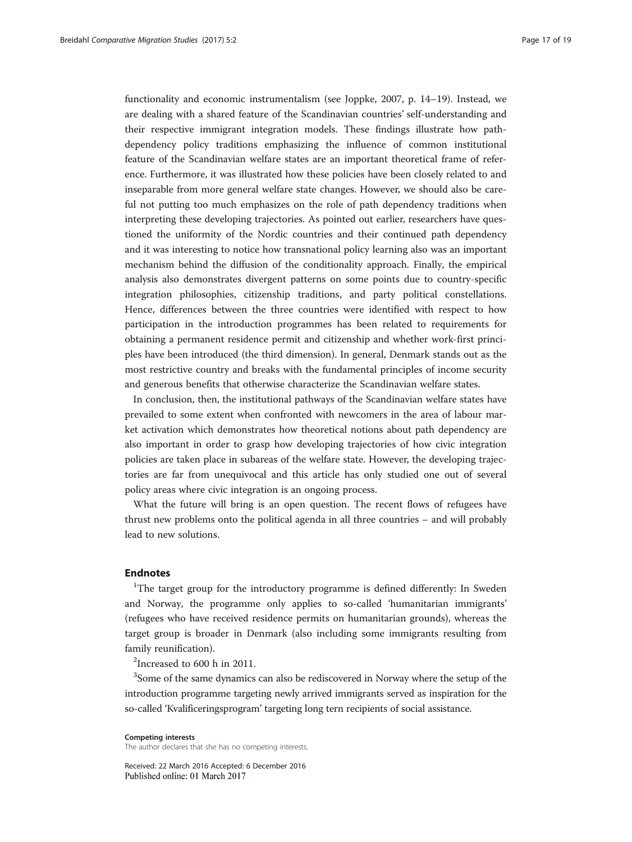functionality and economic instrumentalism (see Joppke, [2007,](#page-18-0) p. 14–19). Instead, we are dealing with a shared feature of the Scandinavian countries' self-understanding and their respective immigrant integration models. These findings illustrate how pathdependency policy traditions emphasizing the influence of common institutional feature of the Scandinavian welfare states are an important theoretical frame of reference. Furthermore, it was illustrated how these policies have been closely related to and inseparable from more general welfare state changes. However, we should also be careful not putting too much emphasizes on the role of path dependency traditions when interpreting these developing trajectories. As pointed out earlier, researchers have questioned the uniformity of the Nordic countries and their continued path dependency and it was interesting to notice how transnational policy learning also was an important mechanism behind the diffusion of the conditionality approach. Finally, the empirical analysis also demonstrates divergent patterns on some points due to country-specific integration philosophies, citizenship traditions, and party political constellations. Hence, differences between the three countries were identified with respect to how participation in the introduction programmes has been related to requirements for obtaining a permanent residence permit and citizenship and whether work-first principles have been introduced (the third dimension). In general, Denmark stands out as the most restrictive country and breaks with the fundamental principles of income security and generous benefits that otherwise characterize the Scandinavian welfare states.

In conclusion, then, the institutional pathways of the Scandinavian welfare states have prevailed to some extent when confronted with newcomers in the area of labour market activation which demonstrates how theoretical notions about path dependency are also important in order to grasp how developing trajectories of how civic integration policies are taken place in subareas of the welfare state. However, the developing trajectories are far from unequivocal and this article has only studied one out of several policy areas where civic integration is an ongoing process.

What the future will bring is an open question. The recent flows of refugees have thrust new problems onto the political agenda in all three countries – and will probably lead to new solutions.

# Endnotes

<sup>1</sup>The target group for the introductory programme is defined differently: In Sweden and Norway, the programme only applies to so-called 'humanitarian immigrants' (refugees who have received residence permits on humanitarian grounds), whereas the target group is broader in Denmark (also including some immigrants resulting from family reunification).

 $2$ Increased to 600 h in 2011.

<sup>3</sup>Some of the same dynamics can also be rediscovered in Norway where the setup of the introduction programme targeting newly arrived immigrants served as inspiration for the so-called 'Kvalificeringsprogram' targeting long tern recipients of social assistance.

#### Competing interests

The author declares that she has no competing interests.

Received: 22 March 2016 Accepted: 6 December 2016 Published online: 01 March 2017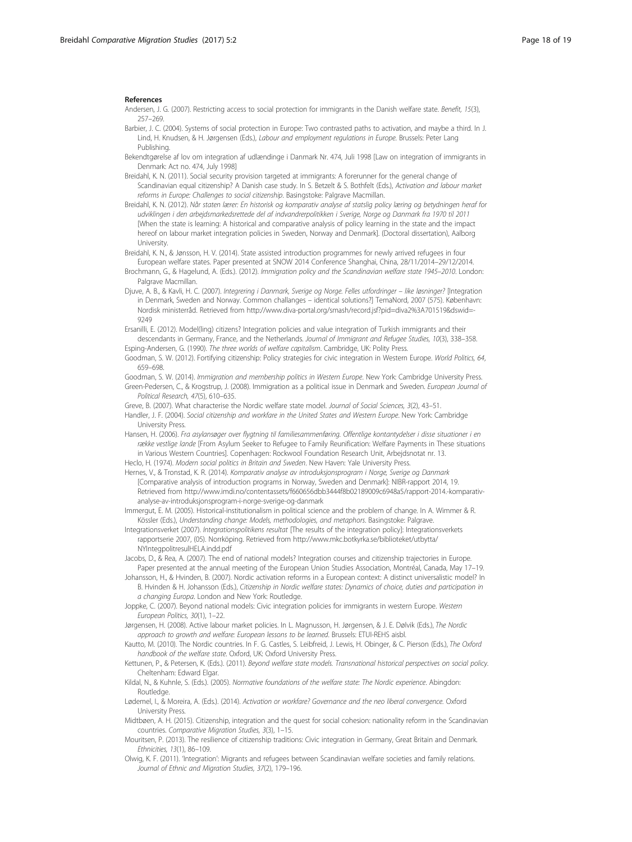#### <span id="page-18-0"></span>**References**

- Andersen, J. G. (2007). Restricting access to social protection for immigrants in the Danish welfare state. Benefit, 15(3), 257–269.
- Barbier, J. C. (2004). Systems of social protection in Europe: Two contrasted paths to activation, and maybe a third. In J. Lind, H. Knudsen, & H. Jørgensen (Eds.), Labour and employment regulations in Europe. Brussels: Peter Lang Publishing.
- Bekendtgørelse af lov om integration af udlændinge i Danmark Nr. 474, Juli 1998 [Law on integration of immigrants in Denmark: Act no. 474, July 1998]
- Breidahl, K. N. (2011). Social security provision targeted at immigrants: A forerunner for the general change of Scandinavian equal citizenship? A Danish case study. In S. Betzelt & S. Bothfelt (Eds.), Activation and labour market reforms in Europe: Challenges to social citizenship. Basingstoke: Palgrave Macmillan.
- Breidahl, K. N. (2012). Når staten lærer: En historisk og komparativ analyse af statslig policy læring og betydningen heraf for udviklingen i den arbejdsmarkedsrettede del af indvandrerpolitikken i Sverige, Norge og Danmark fra 1970 til 2011 [When the state is learning: A historical and comparative analysis of policy learning in the state and the impact hereof on labour market integration policies in Sweden, Norway and Denmark]. (Doctoral dissertation), Aalborg University.
- Breidahl, K. N., & Jønsson, H. V. (2014). State assisted introduction programmes for newly arrived refugees in four European welfare states. Paper presented at SNOW 2014 Conference Shanghai, China, 28/11/2014–29/12/2014.
- Brochmann, G., & Hagelund, A. (Eds.). (2012). Immigration policy and the Scandinavian welfare state 1945–2010. London: Palgrave Macmillan.
- Djuve, A. B., & Kavli, H. C. (2007). Integrering i Danmark, Sverige og Norge. Felles utfordringer like løsninger? [Integration in Denmark, Sweden and Norway. Common challanges – identical solutions?] TemaNord, 2007 (575). København: Nordisk ministerråd. Retrieved from http://www.diva-portal.org/smash/record.jsf?pid=diva2%3A701519&dswid=- 9249
- Ersanilli, E. (2012). Model(ling) citizens? Integration policies and value integration of Turkish immigrants and their descendants in Germany, France, and the Netherlands. Journal of Immigrant and Refugee Studies, 10(3), 338–358.

Esping-Andersen, G. (1990). The three worlds of welfare capitalism. Cambridge, UK: Polity Press. Goodman, S. W. (2012). Fortifying citizenship: Policy strategies for civic integration in Western Europe. World Politics, 64, 659–698.

- Goodman, S. W. (2014). Immigration and membership politics in Western Europe. New York: Cambridge University Press. Green-Pedersen, C., & Krogstrup, J. (2008). Immigration as a political issue in Denmark and Sweden. European Journal of
- Political Research, 47(5), 610-635. Greve, B. (2007). What characterise the Nordic welfare state model. Journal of Social Sciences, 3(2), 43–51.
- Handler, J. F. (2004). Social citizenship and workfare in the United States and Western Europe. New York: Cambridge University Press.
- Hansen, H. (2006). Fra asylansøger over flygtning til familiesammenføring. Offentlige kontantydelser i disse situationer i en række vestlige lande [From Asylum Seeker to Refugee to Family Reunification: Welfare Payments in These situations in Various Western Countries]. Copenhagen: Rockwool Foundation Research Unit, Arbejdsnotat nr. 13. Heclo, H. (1974). Modern social politics in Britain and Sweden. New Haven: Yale University Press.
- Hernes, V., & Tronstad, K. R. (2014). Komparativ analyse av introduksjonsprogram i Norge, Sverige og Danmark
- [Comparative analysis of introduction programs in Norway, Sweden and Denmark]: NIBR-rapport 2014, 19. Retrieved from http://www.imdi.no/contentassets/f660656dbb3444f8b02189009c6948a5/rapport-2014.-komparativanalyse-av-introduksjonsprogram-i-norge-sverige-og-danmark
- Immergut, E. M. (2005). Historical-institutionalism in political science and the problem of change. In A. Wimmer & R. Kössler (Eds.), Understanding change: Models, methodologies, and metaphors. Basingstoke: Palgrave.
- Integrationsverket (2007). Integrationspolitikens resultat [The results of the integration policy]: Integrationsverkets rapportserie 2007, (05). Norrköping. Retrieved from http://www.mkc.botkyrka.se/biblioteket/utbytta/ NYIntegpolitresulHELA.indd.pdf
- Jacobs, D., & Rea, A. (2007). The end of national models? Integration courses and citizenship trajectories in Europe. Paper presented at the annual meeting of the European Union Studies Association, Montréal, Canada, May 17–19.
- Johansson, H., & Hvinden, B. (2007). Nordic activation reforms in a European context: A distinct universalistic model? In B. Hvinden & H. Johansson (Eds.), Citizenship in Nordic welfare states: Dynamics of choice, duties and participation in a changing Europa. London and New York: Routledge.
- Joppke, C. (2007). Beyond national models: Civic integration policies for immigrants in western Europe. Western European Politics, 30(1), 1–22.
- Jørgensen, H. (2008). Active labour market policies. In L. Magnusson, H. Jørgensen, & J. E. Dølvik (Eds.), The Nordic approach to growth and welfare: European lessons to be learned. Brussels: ETUI-REHS aisbl.
- Kautto, M. (2010). The Nordic countries. In F. G. Castles, S. Leibfreid, J. Lewis, H. Obinger, & C. Pierson (Eds.), The Oxford handbook of the welfare state. Oxford, UK: Oxford University Press.
- Kettunen, P., & Petersen, K. (Eds.). (2011). Beyond welfare state models. Transnational historical perspectives on social policy. Cheltenham: Edward Elgar.
- Kildal, N., & Kuhnle, S. (Eds.). (2005). Normative foundations of the welfare state: The Nordic experience. Abingdon: Routledge.
- Lødemel, I., & Moreira, A. (Eds.). (2014). Activation or workfare? Governance and the neo liberal convergence. Oxford University Press.
- Midtbøen, A. H. (2015). Citizenship, integration and the quest for social cohesion: nationality reform in the Scandinavian countries. Comparative Migration Studies, 3(3), 1–15.
- Mouritsen, P. (2013). The resilience of citizenship traditions: Civic integration in Germany, Great Britain and Denmark. Ethnicities, 13(1), 86–109.
- Olwig, K. F. (2011). 'Integration': Migrants and refugees between Scandinavian welfare societies and family relations. Journal of Ethnic and Migration Studies, 37(2), 179–196.